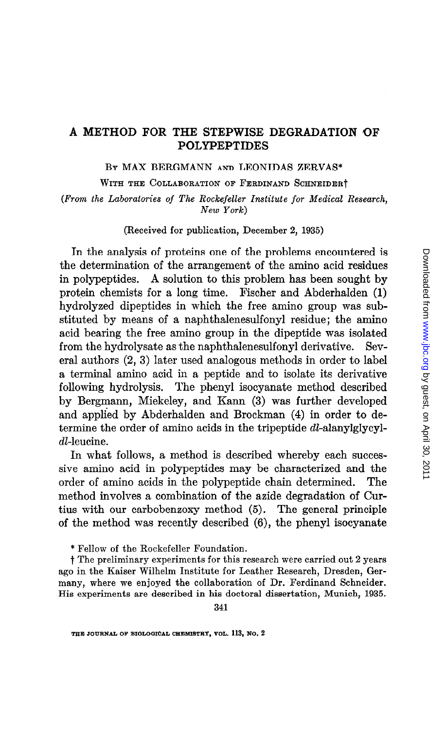### A METHOD FOR THE STEPWISE DEGRADATION OF POLYPEPTIDES

BY MAX BERGMANN AND LEONIDAS ZERVAS\*

WITH THE COLLABORATION OF FERDINAND SCHNEIDERT

(From the Laboratories of The Rockefeller Institute for Medical Research, New York)

(Received for publication, December 2, 1935)

In the analysis of proteins one of the problems encountered is the determination of the arrangement of the amino acid residues in polypeptides. A solution to this problem has been sought by protein chemists for a long time. Fischer and Abderhalden (1) hydrolyzed dipeptides in which the free amino group was substituted by means of a naphthalenesulfonyl residue; the amino acid bearing the free amino group in the dipeptide was isolated from the hydrolysate as the naphthalenesulfonyl derivative. Several authors (2, 3) later used analogous methods in order to label a terminal amino acid in a peptide and to isolate its derivative following hydrolysis. The phenyl isocyanate method described by Bergmann, Miekeley, and Kann (3) was further developed and applied by Abderhalden and Brockman (4) in order to determine the order of amino acids in the tripeptide dl-alanylglycyldl-leucine.

In what follows, a method is described whereby each successive amino acid in polypeptides may be characterized and the order of amino acids in the polypeptide chain determined. The method involves a combination of the aside degradation of Curtius with our carbobenzoxy method (5). The general principle of the method was recently described (6), the phenyl isocyanate

\* Fellow of the Rockefeller Foundation.

t The preliminary experiments for this research were carried out 2 years ago in the Kaiser Wilhelm Institute for Leather Research, Dresden, Germany, where we enjoyed the collaboration of Dr. Ferdinand Schneider. His experiments are described in his doctoral dissertation, Munich, 1935.

THE JOURNAL OF BIOLOGICAL CHEMISTRY, VOL. 113, NO. 2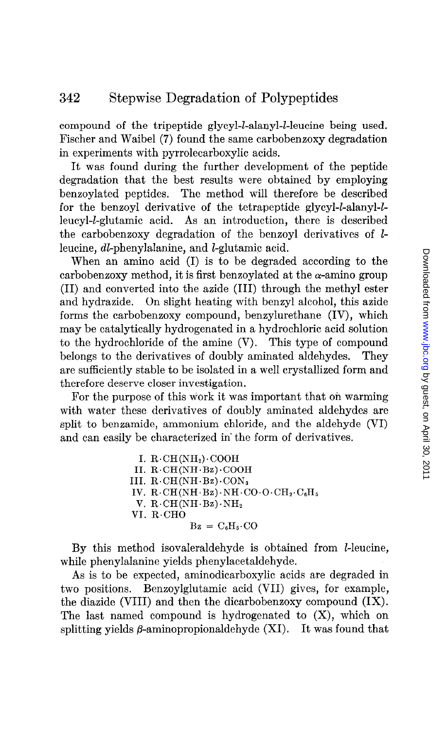compound of the tripeptide glycyl-l-alanyl-l-leucine being used. Fischer and Waibel (7) found the same carbobenzoxy degradation in experiments with pyrrolecarboxylic acids.

It was found during the further development of the peptide degradation that the best results were obtained by employing benzoylated peptides. The method will therefore be described for the benzoyl derivative of the tetrapeptide glycyl-l-alanyl-lleucyl-*l*-glutamic acid. As an introduction, there is described the carbobenxoxy degradation of the benzoyl derivatives of lleucine, dl-phenylalanine, and I-glutamic acid.

When an amino acid (I) is to be degraded according to the carbobenzoxy method, it is first benzoylated at the  $\alpha$ -amino group (II) and converted into the azide (III) through the methyl ester and hydrazide. On slight heating with benzyl alcohol, this azide forms the carbobenzoxy compound, benzylurethane (IV), which may be catalytically hydrogenated in a hydrochloric acid solution to the hydrochloride of the amine (V). This type of compound belongs to the derivatives of doubly aminated aldehydes. They are sufficiently stable to be isolated in a well crystallized form and therefore deserve closer investigation.

For the purpose of this work it was important that on warming with water these derivatives of doubly aminated aldehydes are split to benzamide, ammonium chloride, and the aldehyde (VI) and can easily be characterized in' the form of derivatives.

> I.  $R \cdot CH(NH_2) \cdot COOH$ II. R.CH(NH.Bz).COOH III.  $R \cdot CH(NH \cdot Bz) \cdot CON_3$ IV.  $R \cdot CH(NH \cdot Bz) \cdot NH \cdot CO \cdot O \cdot CH_2 \cdot C_6H_5$ V.  $R \cdot CH(NH \cdot Bz) \cdot NH_2$ VI. R.CHO  $Bz = C<sub>6</sub>H<sub>5</sub> \cdot CO$

By this method isovaleraldehyde is obtained from I-leucine, while phenylalanine yields phenylacetaldehyde.

As is to be expected, aminodicarboxylic acids are degraded in two positions. Benzoylglutamic acid (VII) gives, for example, the diazide (VIII) and then the dicarbobenzoxy compound (IX). The last named compound is hydrogenated to  $(X)$ , which on splitting yields  $\beta$ -aminopropionaldehyde  $(XI)$ . It was found that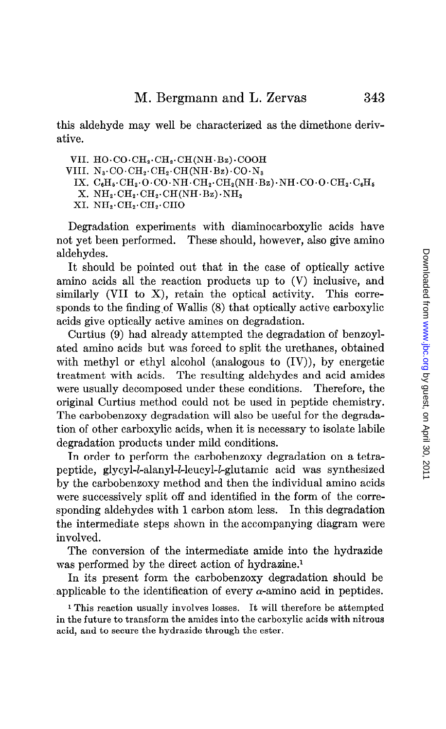this aldehyde may well be characterized as the dimethone derivative.

VII.  $HO \cdot CO \cdot CH_2 \cdot CH_2 \cdot CH(NH \cdot Bz) \cdot COOH$ 

- VIII.  $N_3$ . $CO \cdot CH_2 \cdot CH_2 \cdot CH(NH \cdot Bz) \cdot CO \cdot N_3$ 
	- IX.  $C_6H_6 \cdot CH_2 \cdot O \cdot CO \cdot NH \cdot CH_2 \cdot CH_2(NH \cdot Bz) \cdot NH \cdot CO \cdot O \cdot CH_2 \cdot C_6H_5$
	- $X. NH_2 \cdot CH_2 \cdot CH_2 \cdot CH(NH \cdot Bz) \cdot NH_2$
	- XI.  $NH_2 \cdot CH_2 \cdot CH_2 \cdot CH_2$

Degradation experiments with diaminocarboxylic acids have not yet been performed. These should, however, also give amino aldehydes.

It should be pointed out that in the case of optically active amino acids all the reaction products up to (V) inclusive, and similarly (VII to X), retain the optical activity. This corresponds to the finding of Wallis (8) that optically active carboxylic acids give optically active amines on degradation.

Curtius (9) had already attempted the degradation of benzoylated amino acids but was forced to split the urethanes, obtained with methyl or ethyl alcohol (analogous to  $(IV)$ ), by energetic treatment with acids. The resulting aldehydes and acid amides were usually decomposed under these conditions. Therefore, the original Curtius method could not be used in peptide chemistry. The carbobenzoxy degradation will also be useful for the degradation of other carboxylic acids, when it is necessary to isolate labile degradation products under mild conditions.

In order to perform the carbobenzoxy degradation on a tetrapeptide, glycyl-l-alanyl-l-leucyl-l-glutamic acid was synthesized by the carbobenzoxy method and then the individual amino acids were successively split off and identified in the form of the corresponding aldehydes with 1 carbon atom less. In this degradation the intermediate steps shown in the accompanying diagram were involved.

The conversion of the intermediate amide into the hydrazide was performed by the direct action of hydrazine.<sup>1</sup>

In its present form the carbobenzoxy degradation should be applicable to the identification of every  $\alpha$ -amino acid in peptides.

1 This reaction usually involves losses. It will therefore be attempted in the future to transform the amides into the carboxylic acids with nitrous acid, and to secure the hydrazide through the ester.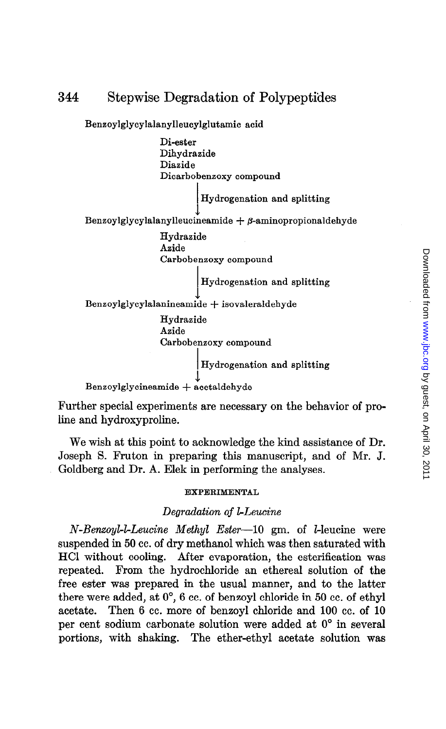Benzoylglycylalanylleucylglutamic acid Di-ester Dihydrazide Diazide Dicarbobenzoxy compound , Hydrogenation and splitting J Benzoylglycylalanylleucineamide  $+$   $\beta$ -aminopropionaldehyde Hydraside Azide Carbobenzoxy compound Hydrogenation and splitting 1 Benzoylglycylalanineamide + isovaleraldehyde Hydrazide Aside Carbobenzoxy compound Hydrogenation and splitting L Benzoylglycineamide + acetaldehyde

Further special experiments are necessary on the behavior of proline and hydroxyproline.

We wish at this point to acknowledge the kind assistance of Dr. Joseph S. Fruton in preparing this manuscript, and of Mr. J. Goldberg and Dr. A. Elek in performing the analyses.

#### EXPERIMENTAL

#### Degradation of LLeucine

N-Benzoyl-l-Leucine Methyl Ester-10 gm. of l-leucine were suspended in 50 cc. of dry methanol which was then saturated with HCI without cooling. After evaporation, the esterification was repeated. From the hydrochloride an ethereal solution of the free ester was prepared in the usual manner, and to the latter there were added, at O', 6 cc. of benzoyl chloride in 50 cc. of ethyl acetate. Then 6 cc. more of benzoyl chloride and 100 cc. of 10 per cent sodium carbonate solution were added at O" in several portions, with shaking. The ether-ethyl acetate solution was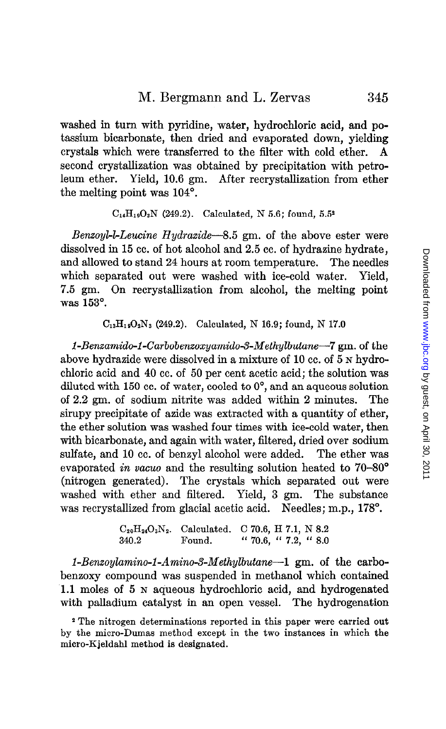washed in turn with pyridine, water, hydrochloric acid, and potassium bicarbonate, then dried and evaporated down, yielding crystals which were transferred to the filter with cold ether. A second crystallization was obtained by precipitation with petroleum ether. Yield, 10.6 gm. After recrystallization from ether the melting point was  $104^\circ$ .

 $C_{14}H_{19}O_3N$  (249.2). Calculated, N 5.6; found, 5.5<sup>2</sup>

Benzoyl-l-Leucine Hydrazide-8.5 gm. of the above ester were dissolved in 15 cc. of hot alcohol and 2.5 cc. of hydrazine hydrate, and allowed to stand 24 hours at room temperature. The needles which separated out were washed with ice-cold water. Yield, 7.5 gm. On recrystallization from alcohol, the melting point was 153°.

 $C_{13}H_{19}O_2N_3$  (249.2). Calculated, N 16.9; found, N 17.0

1-Benzamido-1-Carbobenzoxyamido-3-Methylbutane-7 gm. of the above hydrazide were dissolved in a mixture of 10 cc. of 5 N hydrochloric acid and 40 cc. of 50 per cent acetic acid; the solution was diluted with 150 cc. of water, cooled to  $0^{\circ}$ , and an aqueous solution of 2.2 gm. of sodium nitrite was added within 2 minutes. The sirupy precipitate of azide was extracted with a quantity of ether, the ether solution was washed four times with ice-cold water, then with bicarbonate, and again with water, filtered, dried over sodium sulfate, and 10 cc. of benzyl alcohol were added. The ether was evaporated in vacuo and the resulting solution heated to  $70-80^\circ$ (nitrogen generated). The crystals which separated out were washed with ether and filtered. Yield, 3 gm. The substance was recrystallized from glacial acetic acid. Needles; m.p., 178°.

|       | $C_{20}H_{24}O_3N_2$ . Calculated. C 70.6, H 7.1, N 8.2 |                                                             |  |  |
|-------|---------------------------------------------------------|-------------------------------------------------------------|--|--|
| 340.2 | Found.                                                  | $\frac{1}{10}$ 70.6, $\frac{1}{10}$ 7.2, $\frac{1}{10}$ 8.0 |  |  |

1-Benzoylamino-1-Amino-3-Methylbutane-1 gm. of the carbobenzoxy compound was suspended in methanol which contained 1.1 moles of 5 N aqueous hydrochloric acid, and hydrogenated with palladium catalyst in an open vessel. The hydrogenation

2 The nitrogen determinations reported in this paper were carried out by the micro-Dumas method except in the two instances in which the micro-Kjeldahl method is designated.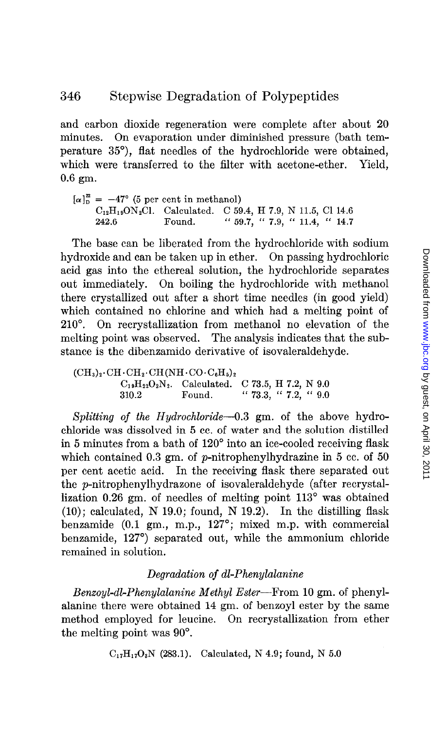and carbon dioxide regeneration were complete after about 20 minutes. On evaporation under diminished pressure (bath temperature 35"), flat needles of the hydrochloride were obtained, which were transferred to the filter with acetone-ether. Yield, 0.6 gm.

 $\left[\alpha\right]_{\text{D}}^{2} = -47^{\circ}$  (5 per cent in methanol)  $C_{12}H_{19}ON_2Cl.$  Calculated. C 59.4, H 7.9, N 11.5, Cl 14.6 242.6 Found. " 59.7, " 7.9, " 11.4, " 14.7

The base can be liberated from the hydrochloride with sodium hydroxide and can be taken up in ether. On passing hydrochloric acid gas into the ethereal solution, the hydrochloride separates out immediately. On boiling the hydrochloride with methanol there crystallized out after a short time needles (in good yield) which contained no chlorine and which had a melting point of 210°. On recrystallization from methanol no elevation of the melting point was observed. The analysis indicates that the substance is the dibenzamido derivative of isovaleraldehyde.

 $(CH_3)_2 \cdot CH \cdot CH_2 \cdot CH(NH \cdot CO \cdot C_6H_5)_2$  $C_{19}H_{22}O_2N_2$ . Calculated. C 73.5, H 7.2, N 9.0 310.2 Found. "  $73.3,$  "  $7.2,$  "  $9.0$ 

Splitting of the Hydrochloride- $0.3$  gm. of the above hydrochloride was dissolved in 5 cc. of water and the solution distilled in 5 minutes from a bath of 120" into an ice-cooled receiving flask which contained 0.3 gm. of p-nitrophenylhydrazine in 5 cc. of 50 per cent acetic acid. In the receiving flask there separated out the p-nitrophenylhydrazone of isovaleraldehyde (after recrystallization 0.26 gm. of needles of melting point 113<sup>°</sup> was obtained  $(10)$ ; calculated, N 19.0; found, N 19.2). In the distilling flask benzamide (0.1 gm., m.p., 127°; mixed m.p. with commercial benzamide, 127") separated out, while the ammonium chloride remained in solution.

### Degradation of dl-Phenylalanine

Benzoyl-dl-Phenylalanine Methyl Ester-From 10 gm. of phenylalanine there were obtained 14 gm. of benzoyl ester by the same method employed for leucine. On recrystallization from ether the melting point was 90".

 $C_{17}H_{17}O_8N$  (283.1). Calculated, N 4.9; found, N 5.0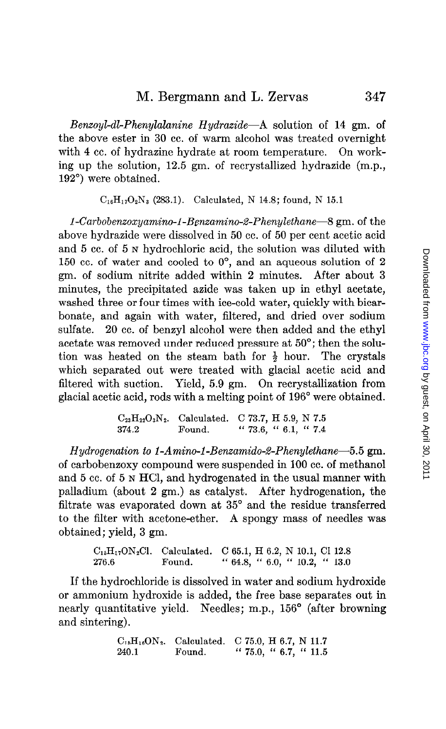Benzoyl-dl-Phenylalanine Hydrazide-A solution of 14 gm. of the above ester in 30 cc. of warm alcohol was treated overnight with 4 cc. of hydrazine hydrate at room temperature. On working up the solution, 12.5 gm. of recrystallized hydrazide (m.p., 192') were obtained.

 $C_{16}H_{17}O_2N_3$  (283.1). Calculated, N 14.8; found, N 15.1

1-Carbobenzoxyamino-1-Benzamino-2-Phenylethane-8 gm. of the above hydrazide were dissolved in 50 cc. of 50 per cent acetic acid and 5 cc. of 5 N hydrochloric acid, the solution was diluted with 150 cc. of water and cooled to O', and an aqueous solution of 2 gm. of sodium nitrite added within 2 minutes. After about 3 minutes, the precipitated azide was taken up in ethyl acetate, washed three or four times with ice-cold water, quickly with bicarbonate, and again with water, filtered, and dried over sodium sulfate. 20 cc. of benzyl alcohol were then added and the ethyl acetate was removed under reduced pressure at 50"; then the solution was heated on the steam bath for  $\frac{1}{2}$  hour. The crystals which separated out were treated with glacial acetic acid and filtered with suction. Yield, 5.9 gm. On recrystallization from glacial acetic acid, rods with a melting point of 196" were obtained.

> $C_{23}H_{22}O_3N_2$ . Calculated. C 73.7, H 5.9, N 7.5 374.2 Found. " 73.6, " 6.1, " 7.4

Hydrogenation to 1-Amino-1-Benzamido-2-Phenylethane-5.5 gm. of carbobenzoxy compound were suspended in 100 cc. of methanol and 5 cc. of 5 N HCl, and hydrogenated in the usual manner with palladium (about 2 gm.) as catalyst. After hydrogenation, the filtrate was evaporated down at 35° and the residue transferred to the filter with acetone-ether. A spongy mass of needles was obtained; yield, 3 gm.

> ClsHI,0N2Cl. Calculated. C 65.1, H 6.2, N 10.1, Cl 12.8 276.6 Found. " 64.8, " 6.0, " 10.2, " 13.0

If the hydrochloride is dissolved in water and sodium hydroxide or ammonium hydroxide is added, the free base separates out in nearly quantitative yield. Needles; m.p., 156° (after browning and sintering).

> $C_{15}H_{16}ON_2$ . Calculated. C 75.0, H 6.7, N 11.7 240.1 Found. " 75.0, " 6.7, " 11.5

347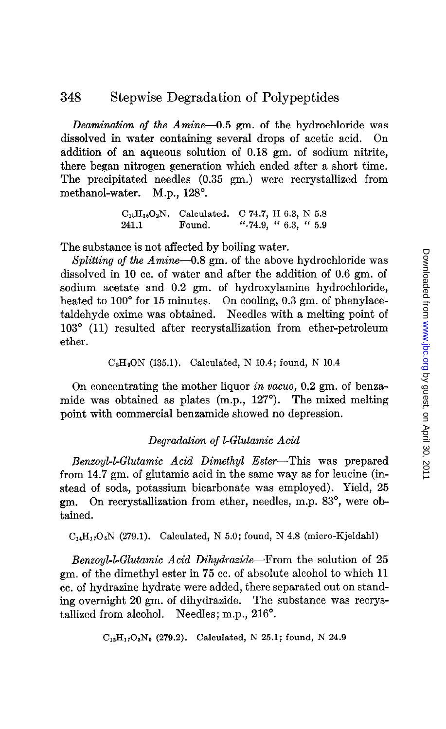Deamination of the Amine-0.5 gm. of the hydrochloride was dissolved in water containing several drops of acetic acid. On addition of an aqueous solution of 0.18 gm. of sodium nitrite, there began nitrogen generation which ended after a short time. The precipitated needles (0.35 gm.) were recrystallized from methanol-water. M.p., 128°.

> $C_{15}H_{15}O_2N.$  Calculated. C 74.7, H 6.3, N 5.8 241.1 Found. ".74.9, " 6.3, " 5.9

The substance is not affected by boiling water.

Splitting of the  $Amine-0.8$  gm. of the above hydrochloride was dissolved in 10 cc. of water and after the addition of 0.6 gm. of sodium acetate and 0.2 gm. of hydroxylamine hydrochloride, heated to 100' for 15 minutes. On cooling, 0.3 gm. of phenylacetaldehyde oxime was obtained. Needles with a melting point of 103" (11) resulted after recrystallization from ether-petroleum ether.

```
CsHsON (135.1). Calculated, N 10.4; found, N 10.4
```
On concentrating the mother liquor in vacua, 0.2 gm. of benzamide was obtained as plates (m.p., 127"). The mixed melting point with commercial benzamide showed no depression.

#### Degradation of LGlutamic Acid

Benzoyl-l-Glutamic Acid Dimethyl Ester-This was prepared from 14.7 gm. of glutamic acid in the same way as for leucine (instead of soda, potassium bicarbonate was employed). Yield, 25 gm. On recrystallization from ether, needles, m.p. 83", were obtained.

 $C_{14}H_{17}O_5N$  (279.1). Calculated, N 5.0; found, N 4.8 (micro-Kjeldahl)

Benzoyl-l-Glutamic Acid Dihydrazide-From the solution of  $25$ gm. of the dimethyl ester in 75 cc. of absolute alcohol to which 11 cc. of hydrazine hydrate were added, there separated out on standing overnight 20 gm. of dihydrazide. The substance was recrystallized from alcohol. Needles; m.p., 216".

 $C_{12}H_{17}O_3N_5$  (279.2). Calculated, N 25.1; found, N 24.9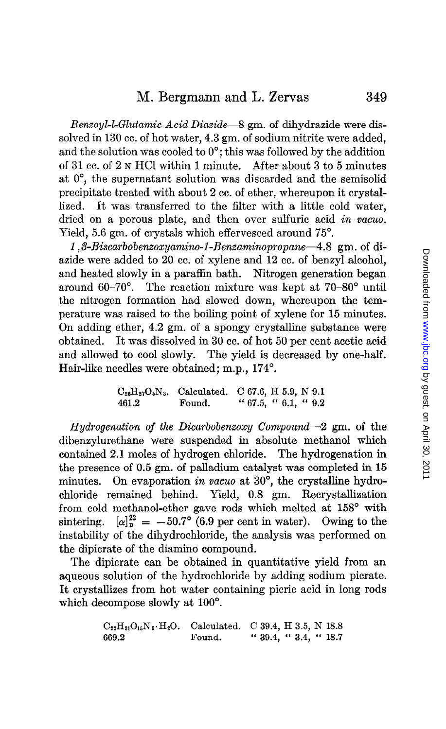Benzoyl-l-Glutamic Acid Diazide-8 gm. of dihydrazide were dissolved in 130 cc. of hot water, 4.3 gm. of sodium nitrite were added, and the solution was cooled to  $0^\circ$ ; this was followed by the addition of 31 cc. of 2 N HCI within 1 minute. A'fter about 3 to 5 minutes at O", the supernatant solution was discarded and the semisolid precipitate treated with about 2 cc. of ether, whereupon it crystallized. It was transferred to the filter with a little cold water, dried on a porous plate, and then over sulfuric acid in vacuo. Yield, 5.6 gm. of crystals which effervesced around  $75^{\circ}$ .

1, 3-Biscarbobenzoxyamino-1-Benzaminopropane—4.8 gm. of diazide were added to 20 cc. of xylene and 12 cc. of benzyl alcohol, and heated slowly in a paraflin bath. Nitrogen generation began around 60-70". The reaction mixture was kept at 70-80" until the nitrogen formation had slowed down, whereupon the temperature was raised to the boiling point of xylene for 15 minutes. On adding ether, 4.2 gm. of a spongy crystalline substance were obtained. It was dissolved in 30 cc. of hot 50 per cent acetic acid and allowed to cool slowly. The yield is decreased by one-half. Hair-like needles were obtained; m.p., 174°.

$$
C_{26}H_{27}O_6N_3
$$
. Calculated. C 67.6, H 5.9, N 9.1  
461.2  
Found. " 67.5, " 6.1, " 9.2

Hydrogenation of the Dicarbobenzoxy Compound-2 gm. of the dibenzylurethane were suspended in absolute methanol which contained 2.1 moles of hydrogen chloride. The hydrogenation in the presence of 0.5 gm. of palladium catalyst was completed in 15 minutes. On evaporation in vacuo at  $30^{\circ}$ , the crystalline hydrochloride remained behind. Yield, 0.8 gm. Recrystallization from cold methanol-ether gave rods which melted at 158° with sintering.  $[\alpha]_n^{22} = -50.7^\circ$  (6.9 per cent in water). Owing to the instability of the dihydrochloride, the analysis was performed on the dipicrate of the diamino compound.

The dipicrate can be obtained in quantitative yield from an aqueous solution of the hydrochloride by adding sodium picrate. It crystallizes from hot water containing picric acid in long rods which decompose slowly at 100'.

$$
\begin{array}{lll}\n\text{C}_{22}\text{H}_{21}\text{O}_{16}\text{N}_9 \cdot \text{H}_2\text{O.} & \text{Calculated.} & \text{C 39.4, H 3.5, N 18.8} \\
\text{669.2} & \text{Found.} & \text{`` 39.4, `` 3.4, `` 18.7}\n\end{array}
$$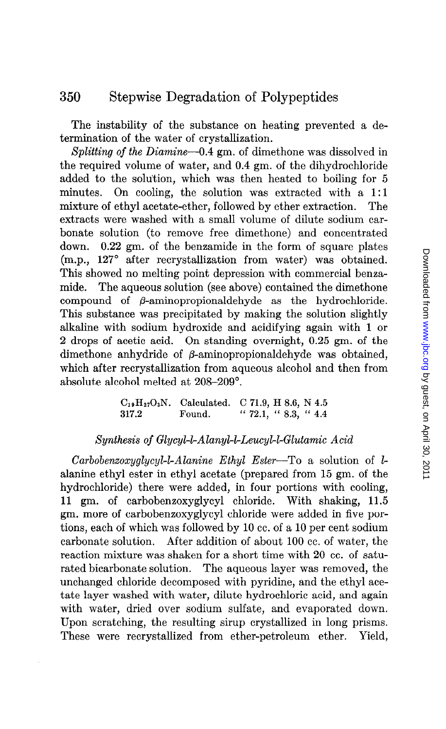The instability of the substance on heating prevented a determination of the water of crystallization.

Splitting of the Diamine-0.4 gm. of dimethone was dissolved in the required volume of water, and 0.4 gm. of the dihydrochloride added to the solution, which was then heated to boiling for 5 minutes. On cooling, the solution was extracted with a 1:1 mixture of ethyl acetate-ether, followed by ether extraction. The extracts were washed with a small volume of dilute sodium carbonate solution (to remove free dimethone) and concentrated down. 0.22 gm. of the benzamide in the form of square plates (m.p., 127° after recrystallization from water) was obtained. This showed no melting point depression with commercial benzamide. The aqueous solution (see above) contained the dimethone compound of  $\beta$ -aminopropionaldehyde as the hydrochloride. This substance was precipitated by making the solution slightly alkaline with sodium hydroxide and acidifying again with 1 or 2 drops of acetic acid. On standing overnight, 0.25 gm. of the dimethone anhydride of  $\beta$ -aminopropionaldehyde was obtained, which after recrystallization from aqueous alcohol and then from absolute alcohol melted at 208-209".

> $C_{19}H_{27}O_3N$ . Calculated. C 71.9, H 8.6, N 4.5 317.2 Found. " 72.1, " 8.3, " 4.4

## Synthesis of Glycyl-l-Alanyl-l-Leucyl-l-Glutamic Acid

 $Carbobenzoxyglycyl-I-Alanine Ethyl Ester-To a solution of I$ alanine ethyl ester in ethyl acetate (prepared from 15 gm. of the hydrochloride) there were added, in four portions with cooling, 11 gm. of carbobenzoxyglycyl chloride. With shaking, 11.5 gm. more of carbobenzoxyglycyl chloride were added in five portions, each of which was followed by 10 cc. of a 10 per cent sodium carbonate solution. After addition of about 100 cc. of water, the reaction mixture was shaken for a short time with 20 cc. of saturated bicarbonate solution. The aqueous layer was removed, the unchanged chloride decomposed with pyridine, and the ethyl acetate layer washed with water, dilute hydrochloric acid, and again with water, dried over sodium sulfate, and evaporated down. Upon scratching, the resulting sirup crystallized in long prisms. These were recrystallized from ether-petroleum ether. Yield,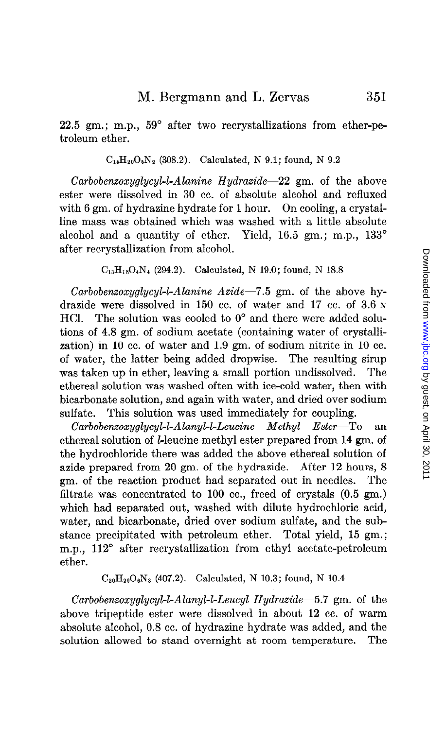22.5 gm.; m.p.,  $59^{\circ}$  after two recrystallizations from ether-petroleum ether.

 $C_{16}H_{20}O_5N_2$  (308.2). Calculated, N 9.1; found, N 9.2

Carbobenzoxyglycyl-l-Alanine Hydrazide-22 gm. of the above ester were dissolved in 30 cc. of absolute alcohol and refluxed with 6 gm. of hydrazine hydrate for 1 hour. On cooling, a crystalline mass was obtained which was washed with a little absolute alcohol and a quantity of ether. Yield,  $16.5$  gm.; m.p.,  $133^\circ$ after recrystallization from alcohol.

 $C_{13}H_{18}O_4N_4$  (294.2). Calculated, N 19.0; found, N 18.8

 $Carbobenzoxyglycyl-L-Alanine Azide-7.5 gm. of the above hy$ drazide were dissolved in 150 cc. of water and 17 cc. of 3.6 N HCl. The solution was cooled to  $0^{\circ}$  and there were added solutions of 4.8 gm. of sodium acetate (containing water of crystallization) in 10 cc. of water and 1.9 gm. of sodium nitrite in 10 cc. of water, the latter being added dropwise. The resulting sirup was taken up in ether, leaving a small portion undissolved. The ethereal solution was washed often with ice-cold water, then with bicarbonate solution, and again with water, and dried over sodium sulfate. This solution was used immediately for coupling.

Carbobenzoxyglycyl-lAlanyl-1-Leucine Methyl Ester-To an ethereal solution of *l*-leucine methyl ester prepared from 14 gm. of the hydrochloride there was added the above ethereal solution of azide prepared from 20 gm. of the hydrazide. After 12 hours, 8 gm. of the reaction product had separated out in needles. The filtrate was concentrated to 100 cc., freed of crystals (0.5 gm.) which had separated out, washed with dilute hydrochloric acid, water, and bicarbonate, dried over sodium sulfate, and the substance precipitated with petroleum ether. Total yield, 15 gm.; m.p., 112° after recrystallization from ethyl acetate-petroleum ether.

 $C_{20}H_{29}O_6N_3$  (407.2). Calculated, N 10.3; found, N 10.4

Carbobenzoxyglycyl-l-Alanyl-l-Leucyl Hydrazide-5.7 gm. of the above tripeptide ester were dissolved in about 12 cc. of warm absolute alcohol, 0.8 cc. of hydrazine hydrate was added, and the solution allowed to stand overnight at room temperature. The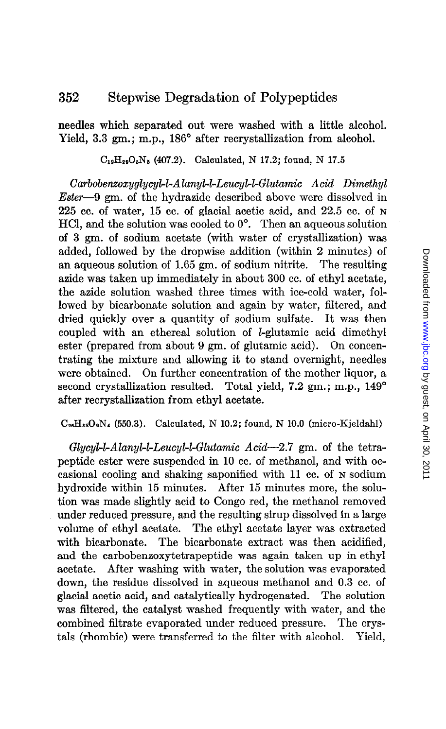needles which separated out were washed with a little alcohol. Yield, 3.3 gm.; m.p., 186° after recrystallization from alcohol.

 $C_{19}H_{29}O_5N_5$  (407.2). Calculated, N 17.2; found, N 17.5

 $Carbobenzoxyglycyl-L-Alanyl-L-leucyl-L-Glutamic \; Acid \; Dimethyl$ Ester-9 gm. of the hydrazide described above were dissolved in 225 cc. of water, 15 cc. of glacial acetic acid, and 22.5 cc. of N  $HCl$ , and the solution was cooled to  $0^{\circ}$ . Then an aqueous solution of 3 gm. of sodium acetate (with water of crystallization) was added, followed by the dropwise addition (within 2 minutes) of an aqueous solution of 1.65 gm. of sodium nitrite. The resulting azide was taken up immediately in about 300 cc. of ethyl acetate, the azide solution washed three times with ice-cold water, followed by bicarbonate solution and again by water, filtered, and dried quickly over a quantity of sodium sulfate. It was then coupled with an ethereal solution of *l*-glutamic acid dimethyl ester (prepared from about 9 gm. of glutamic acid). On concentrating the mixture and allowing it to stand overnight, needles were obtained. On further concentration of the mother liquor, a second crystallization resulted. Total yield, 7.2 gm.; m.p.,  $149^{\circ}$ after recrystallization from ethyl acetate.

### $C_{26}H_{38}O_9N_4$  (550.3). Calculated, N 10.2; found, N 10.0 (micro-Kjeldahl)

 $Glycyl-LAlanyl-Leucyl-L-Glutamic \textit{Acid}-2.7 \text{ gm. of the tetra}$ peptide ester were suspended in 10 cc. of methanol, and with occasional cooling and shaking saponified with 11 cc. of N sodium hydroxide within 15 minutes. After 15 minutes more, the solution was made slightly acid to Congo red, the methanol removed under reduced pressure, and the resulting sirup dissolved in a large volume of ethyl acetate. The ethyl acetate layer was extracted with bicarbonate. The bicarbonate extract was then acidified, and the carbobenzoxytetrapeptide was again taken up in ethyl acetate. After washing with water, the solution was evaporated down, the residue dissolved in aqueous methanol and 0.3 cc. of glacial acetic acid, and catalytically hydrogenated. The solution was filtered, the catalyst washed frequently with water, and the combined filtrate evaporated under reduced pressure. The crystals (rhombic) were transferred to the filter with alcohol. Yield,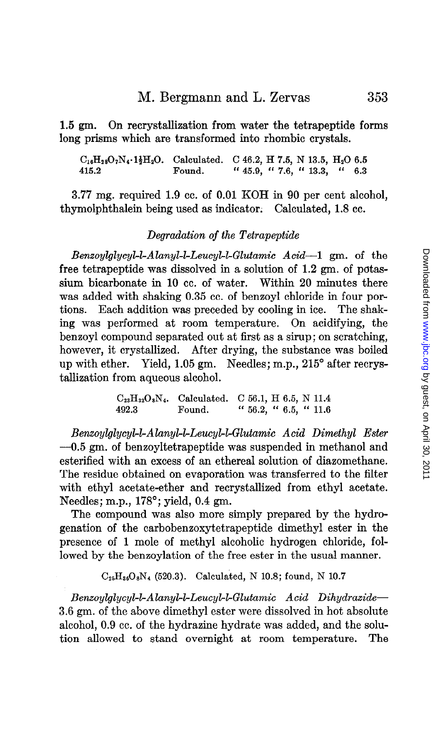1.5 gm. On recrystallization from water the tetrapeptide forms long prisms which are transformed into rhombic crystals.

 $C_{16}H_{28}O_7N_4\cdot 1\frac{1}{2}H_2O.$  Calculated. C 46.2, H 7.5, N 13.5, H<sub>2</sub>O 6.5 415.2 Found. " 45.9, " 7.6, " 13.3, " 6.3

3.77 mg. required 1.9 cc. of 0.01 KOH in 90 per cent alcohol, thymolphthalem being used as indicator. Calculated, 1.8 cc.

#### Degradation of the Tetrapeptide

 $Benzoylglycyl-L-Alanyl-L-eucyl-L-Glutamic$   $Acid-1$  gm. of the free tetrapeptide was dissolved in a solution of 1.2 gm. of potassium bicarbonate in 10 cc. of water. Within 20 minutes there was added with shaking 0.35 cc. of benzoyl chloride in four portions. Each addition was preceded by cooling in ice. The shaking was performed at room temperature. On acidifying, the benzoyl compound separated out at first as a sirup; on scratching, however, it crystallized. After drying, the substance was boiled up with ether. Yield, 1.05 gm. Needles; m.p., 215' after recrystallization from aqueous alcohol.

> $C_{23}H_{32}O_8N_4$ . Calculated. C 56.1, H 6.5, N 11.4 492.3 Found. " 56.2, " 6.5, " 11.6

Benzoylglycykl-Alanyb&Leucykl-Glutamic Acid Dimethyl Ester -0.5 gm. of benzoyltetrapeptide was suspended in methanol and esterified with an excess of an ethereal solution of diazomethane. The residue obtained on evaporation was transferred to the filter with ethyl acetate-ether and recrystallized from ethyl acetate. Needles; m.p., 178°; yield, 0.4 gm.

The compound was also more simply prepared by the hydrogenation of the carbobenzoxytetrapeptide dimethyl ester in the presence of 1 mole of methyl alcoholic hydrogen chloride, followed by the benzoylation of the free ester in the usual manner.

 $C_{25}H_{36}O_8N_4$  (520.3). Calculated, N 10.8; found, N 10.7

Benzoylglycyl-l-Alanyl-LLeucyl-1-Glutamic Acid Dihydrazide-3.6 gm. of the above dimethyl ester were dissolved in hot absolute alcohol, 0.9 cc. of the hydrazine hydrate was added, and the solution allowed to stand overnight at room temperature. The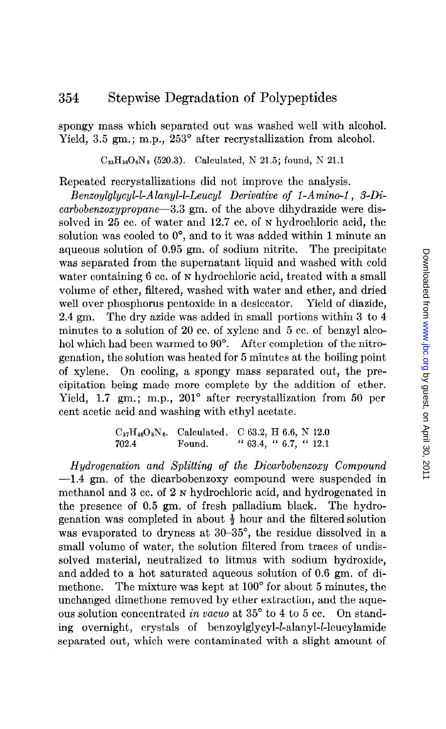spongy mass which separated out was washed well with alcohol. Yield, 3.5 gm.; m.p., 253° after recrystallization from alcohol.

 $C_{23}H_{36}O_6N_8$  (520.3). Calculated, N 21.5; found, N 21.1

Repeated recrystallizations did not improve the analysis.

Benzoylalucyl-l-Alanyl-l-Leucyl Derivative of 1-Amino-1, 3-Dicarbobenzoxypropane-3.3 gm. of the above dihydrazide were dissolved in 25 cc. of water and 12.7 cc. of N hydrochloric acid, the solution was cooled to  $0^{\circ}$ , and to it was added within 1 minute an aqueous solution of 0.95 gm. of sodium nitrite. The precipitate was separated from the supernatant liquid and washed with cold water containing 6 cc. of N hydrochloric acid, treated with a small volume of ether, filtered, washed with water and ether, and dried well over phosphorus pentoxide in a desiccator. Yield of diazide, 2.4 gm. The dry azide was added in small portions within 3 to 4 minutes to a solution of 20 cc. of xylene and 5 cc. of benzyl alcohol which had been warmed to 90°. After completion of the nitrogenation, the solution was heated for 5 minutes at the boiling point of xylene. On cooling, a spongy mass separated out, the precipitation being made more complete by the addition of ether. Yield, 1.7 gm.; m.p., 201° after recrystallization from 50 per cent acetic acid and washing with ethyl acetate.

> $C_{37}H_{46}O_8N_6$ . Calculated. C 63.2, H 6.6, N 12.0 702.4 Found. " 63.4, " 6.7, " 12.1

Hydrogenation and splitting of the Dicarbobenxoxy Compound -1.4 gm. of the dicarbobenzoxy compound were suspended in methanol and 3 cc. of 2 N hydrochloric acid, and hydrogenated in the presence of 0.5 gm. of fresh palladium black. The hydrogenation was completed in about  $\frac{1}{2}$  hour and the filtered solution was evaporated to dryness at 30-35°, the residue dissolved in a small volume of water, the solution filtered from traces of undissolved material, neutralized to litmus with sodium hydroxide, and added to a hot saturated aqueous solution of 0.6 gm. of dimethone. The mixture was kept at 100" for about 5 minutes, the unchanged dimethone removed by ether extraction, and the aqueous solution concentrated in vacuo at  $35^{\circ}$  to 4 to 5 cc. On standing overnight, crystals of benzoylglycyl-1-alanyl-1-leucylamide separated out, which were contaminated with a slight amount of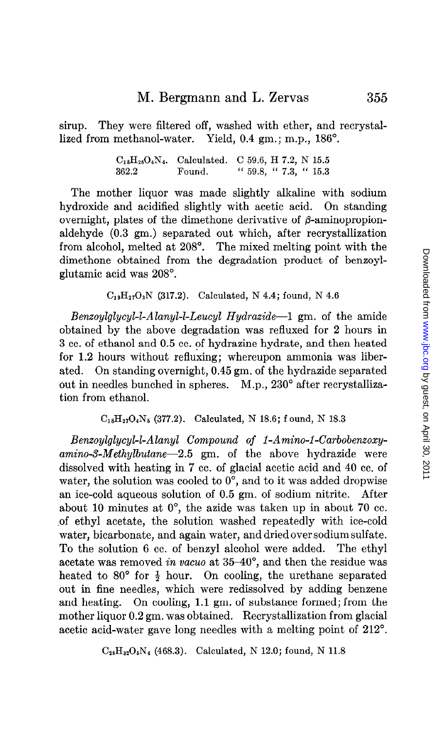sirup. They were filtered off, washed with ether, and recrystallized from methanol-water. Yield, 0.4 gm.; m.p., 186'.

> $C_{18}H_{26}O_4N_4$ . Calculated. C 59.6, H 7.2, N 15.5 362.2 Found. " 59.8, " 7.3, " 15.3

The mother liquor was made slightly alkaline with sodium hydroxide and acidified slightly with acetic acid. On standing overnight, plates of the dimethone derivative of  $\beta$ -aminopropionaldehyde (0.3 gm.) separated out which, after recrystallization from alcohol, melted at 208'. The mixed melting point with the dimethone obtained from the degradation product of benzoylglutamic acid was 208".

 $C_{19}H_{27}O_3N$  (317.2). Calculated, N 4.4; found, N 4.6

*Benzoylglycyl-l-Alanyl-l-Leucyl Hydrazide*--1 gm. of the amide obtained by the above degradation was refluxed for 2 hours in 3 cc. of ethanol and 0.5 cc. of hydrazine hydrate, and then heated for 1.2 hours without refluxing; whereupon ammonia was liberated. On standing overnight, 0.45 gm. of the hydrazide separated out in needles bunched in spheres. M.p., 230° after recrystallization from ethanol.

 $C_{18}H_{27}O_4N_5$  (377.2). Calculated, N 18.6; f ound, N 18.3

Benzoylglycyl-kAlany1 Compound of I-Amino-l-Carbobenzoxy $amino-3-Methylbutane-2.5$  gm. of the above hydrazide were dissolved with heating in 7 cc. of glacial acetic acid and 40 cc. of water, the solution was cooled to  $0^\circ$ , and to it was added dropwise an ice-cold aqueous solution of 0.5 gm. of sodium nitrite. After about 10 minutes at O', the azide was taken up in about 70 cc. of ethyl acetate, the solution washed repeatedly with ice-cold water, bicarbonate, and again water, and dried over sodium sulfate. To the solution 6 cc. of benzyl alcohol were added. The ethyl acetate was removed in vacuo at 35-40°, and then the residue was heated to 80 $\degree$  for  $\frac{1}{2}$  hour. On cooling, the urethane separated out in fine needles, which were redissolved by adding benzene and heating. On cooling, 1.1 gm. of substance formed; from the mother liquor 0.2 gm. was obtained. Recrystallization from glacial acetic acid-water gave long needles with a melting point of 212'.

 $C_{25}H_{32}O_5N_4$  (468.3). Calculated, N 12.0; found, N 11.8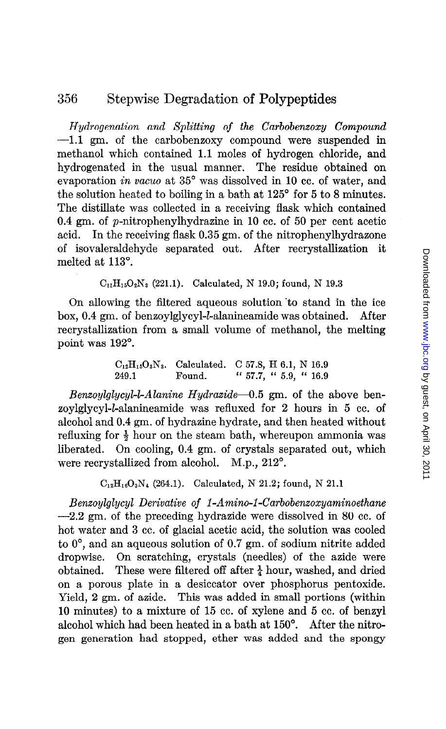Hydrogenation and Splitting of the Carbobenzoxy Compound -1.1 gm. of the carbobenzoxy compound were suspended in methanol which contained 1.1 moles of hydrogen chloride, and hydrogenated in the usual manner. The residue obtained on evaporation in vacuo at 35° was dissolved in 10 cc. of water, and the solution heated to boiling in a bath at 125° for 5 to 8 minutes. The distillate was collected in a receiving flask which contained 0.4 gm. of p-nitrophenylhydrazine in 10 cc. of 50 per cent acetic acid. In the receiving flask 0.35 gm. of the nitrophenylhydrazone of isovaleraldehyde separated out. After recrystallization it melted at 113".

 $C_{11}H_{15}O_2N_3$  (221.1). Calculated, N 19.0; found, N 19.3

On allowing the filtered aqueous solution 'to stand in the ice box, 0.4 gm. of benzoylglycyl-*l*-alanineamide was obtained. After recrystallization from a small volume of methanol, the melting point was 192".

> $C_{12}H_{15}O_3N_3$ . Calculated. C 57.8, H 6.1, N 16.9 249.1 Found. " 57.7, " 5.9, " 16.9

*Benzoylglycyl-l-Alanine Hydrazide*-0.5 gm. of the above benzoylglycyl-L-alanineamide was refluxed for 2 hours in 5 cc. of alcohol and 0.4 gm. of hydrazine hydrate, and then heated without refluxing for  $\frac{1}{2}$  hour on the steam bath, whereupon ammonia was liberated. On cooling, 0.4 gm. of crystals separated out, which were recrystallized from alcohol. M.p.,  $212^\circ$ .

 $C_{12}H_{16}O_3N_4$  (264.1). Calculated, N 21.2; found, N 21.1

Benzoylglycyl Derivative of I-Amino-1-Carbobenzoxyaminoethane  $-2.2$  gm. of the preceding hydrazide were dissolved in 80 cc. of hot water and 3 cc. of glacial acetic acid, the solution was cooled to O', and an aqueous solution of 0.7 gm. of sodium nitrite added dropwise. On scratching, crystals (needles) of the aside were obtained. These were filtered off after  $\frac{1}{4}$  hour, washed, and dried on a porous plate in a desiccator over phosphorus pentoxide. Yield, 2 gm. of azide. This was added in small portions (within 10 minutes) to a mixture of 15 cc. of xylene and 5 cc. of benzyl alcohol which had been heated in a bath at 150". After the nitrogen generation had stopped, ether was added and the spongy